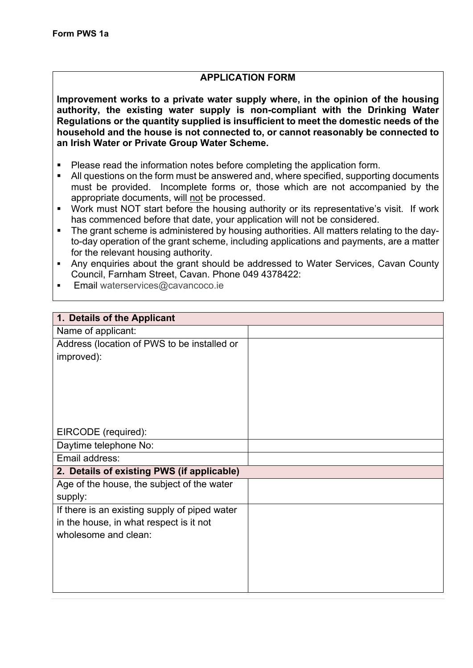## **APPLICATION FORM**

**Improvement works to a private water supply where, in the opinion of the housing authority, the existing water supply is non-compliant with the Drinking Water Regulations or the quantity supplied is insufficient to meet the domestic needs of the household and the house is not connected to, or cannot reasonably be connected to an Irish Water or Private Group Water Scheme.** 

- Please read the information notes before completing the application form.
- All questions on the form must be answered and, where specified, supporting documents must be provided. Incomplete forms or, those which are not accompanied by the appropriate documents, will not be processed.
- Work must NOT start before the housing authority or its representative's visit. If work has commenced before that date, your application will not be considered.
- The grant scheme is administered by housing authorities. All matters relating to the dayto-day operation of the grant scheme, including applications and payments, are a matter for the relevant housing authority.
- § Any enquiries about the grant should be addressed to Water Services, Cavan County Council, Farnham Street, Cavan. Phone 049 4378422:
- Email waterservices@cavancoco.ie

| 1. Details of the Applicant                   |  |
|-----------------------------------------------|--|
| Name of applicant:                            |  |
| Address (location of PWS to be installed or   |  |
| improved):                                    |  |
|                                               |  |
|                                               |  |
|                                               |  |
|                                               |  |
|                                               |  |
| EIRCODE (required):                           |  |
| Daytime telephone No:                         |  |
| Email address:                                |  |
| 2. Details of existing PWS (if applicable)    |  |
| Age of the house, the subject of the water    |  |
| supply:                                       |  |
| If there is an existing supply of piped water |  |
| in the house, in what respect is it not       |  |
| wholesome and clean:                          |  |
|                                               |  |
|                                               |  |
|                                               |  |
|                                               |  |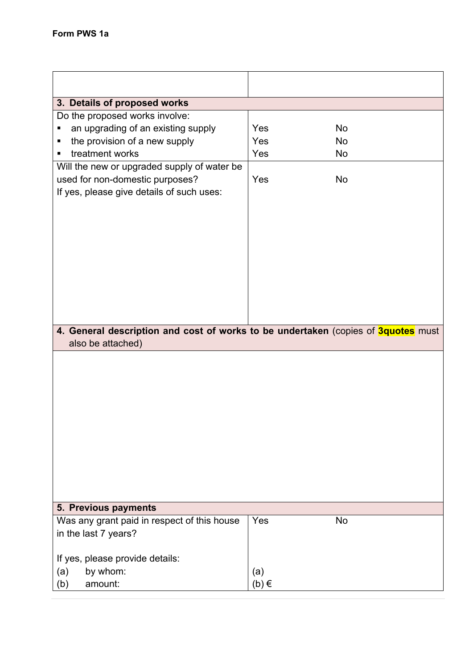| 3. Details of proposed works                                                                           |           |    |
|--------------------------------------------------------------------------------------------------------|-----------|----|
| Do the proposed works involve:                                                                         |           |    |
| an upgrading of an existing supply<br>п                                                                | Yes       | No |
| the provision of a new supply<br>٠                                                                     | Yes       | No |
| treatment works<br>٠                                                                                   | Yes       | No |
| Will the new or upgraded supply of water be                                                            |           |    |
| used for non-domestic purposes?                                                                        | Yes       | No |
| If yes, please give details of such uses:                                                              |           |    |
|                                                                                                        |           |    |
|                                                                                                        |           |    |
|                                                                                                        |           |    |
|                                                                                                        |           |    |
|                                                                                                        |           |    |
|                                                                                                        |           |    |
|                                                                                                        |           |    |
|                                                                                                        |           |    |
|                                                                                                        |           |    |
|                                                                                                        |           |    |
| 4. General description and cost of works to be undertaken (copies of 3quotes must<br>also be attached) |           |    |
|                                                                                                        |           |    |
|                                                                                                        |           |    |
| 5. Previous payments                                                                                   |           |    |
| Was any grant paid in respect of this house<br>in the last 7 years?                                    | Yes       | No |
| If yes, please provide details:                                                                        |           |    |
|                                                                                                        |           |    |
| by whom:<br>(a)<br>amount:                                                                             | (a)       |    |
| (b)                                                                                                    | $(b) \in$ |    |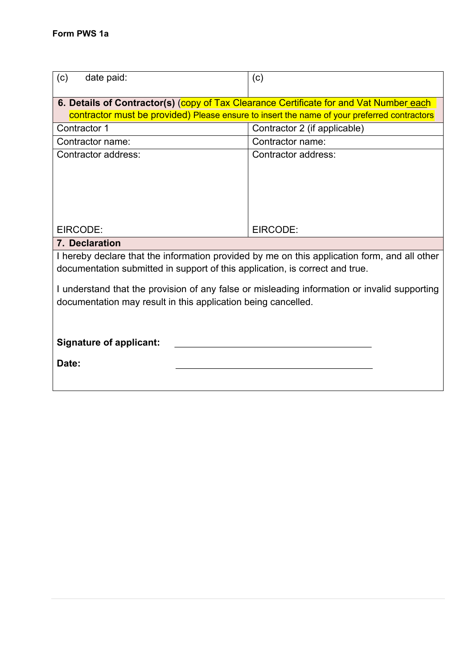| date paid:<br>(c)                                                                                                                                                            | (c)                          |  |
|------------------------------------------------------------------------------------------------------------------------------------------------------------------------------|------------------------------|--|
| 6. Details of Contractor(s) (copy of Tax Clearance Certificate for and Vat Number each                                                                                       |                              |  |
| contractor must be provided) Please ensure to insert the name of your preferred contractors                                                                                  |                              |  |
| Contractor 1                                                                                                                                                                 | Contractor 2 (if applicable) |  |
| Contractor name:                                                                                                                                                             | Contractor name:             |  |
| Contractor address:                                                                                                                                                          | Contractor address:          |  |
| EIRCODE:                                                                                                                                                                     | EIRCODE:                     |  |
| 7. Declaration                                                                                                                                                               |                              |  |
| I hereby declare that the information provided by me on this application form, and all other<br>documentation submitted in support of this application, is correct and true. |                              |  |
| I understand that the provision of any false or misleading information or invalid supporting<br>documentation may result in this application being cancelled.                |                              |  |
| <b>Signature of applicant:</b><br>Date:                                                                                                                                      |                              |  |
|                                                                                                                                                                              |                              |  |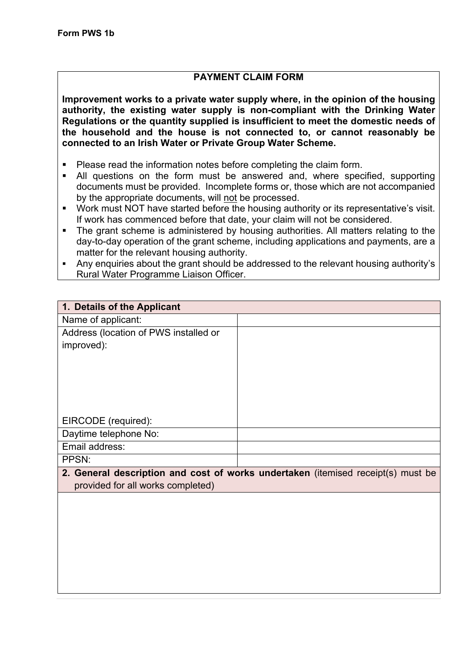## **PAYMENT CLAIM FORM**

**Improvement works to a private water supply where, in the opinion of the housing authority, the existing water supply is non-compliant with the Drinking Water Regulations or the quantity supplied is insufficient to meet the domestic needs of the household and the house is not connected to, or cannot reasonably be connected to an Irish Water or Private Group Water Scheme.** 

- Please read the information notes before completing the claim form.
- All questions on the form must be answered and, where specified, supporting documents must be provided. Incomplete forms or, those which are not accompanied by the appropriate documents, will not be processed.
- Work must NOT have started before the housing authority or its representative's visit. If work has commenced before that date, your claim will not be considered.
- The grant scheme is administered by housing authorities. All matters relating to the day-to-day operation of the grant scheme, including applications and payments, are a matter for the relevant housing authority.
- Any enquiries about the grant should be addressed to the relevant housing authority's Rural Water Programme Liaison Officer.

| 1. Details of the Applicant           |                                                                                  |
|---------------------------------------|----------------------------------------------------------------------------------|
| Name of applicant:                    |                                                                                  |
| Address (location of PWS installed or |                                                                                  |
| improved):                            |                                                                                  |
|                                       |                                                                                  |
|                                       |                                                                                  |
|                                       |                                                                                  |
|                                       |                                                                                  |
|                                       |                                                                                  |
| EIRCODE (required):                   |                                                                                  |
| Daytime telephone No:                 |                                                                                  |
| Email address:                        |                                                                                  |
| PPSN:                                 |                                                                                  |
|                                       | 2. General description and cost of works undertaken (itemised receipt(s) must be |
| provided for all works completed)     |                                                                                  |
|                                       |                                                                                  |
|                                       |                                                                                  |
|                                       |                                                                                  |
|                                       |                                                                                  |
|                                       |                                                                                  |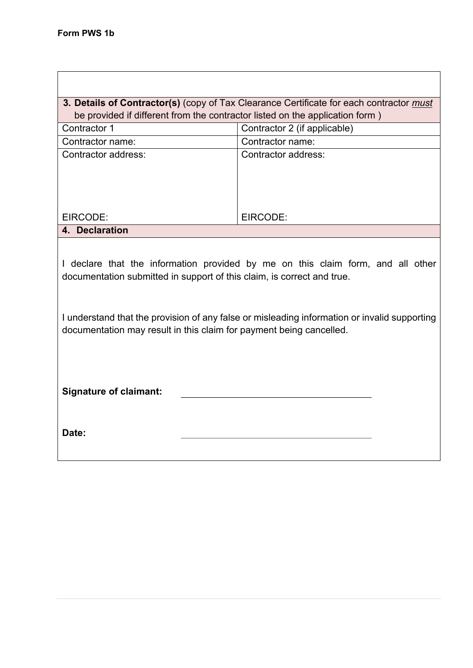| 3. Details of Contractor(s) (copy of Tax Clearance Certificate for each contractor must                                                                                                                                                                                                                                          |                              |  |  |
|----------------------------------------------------------------------------------------------------------------------------------------------------------------------------------------------------------------------------------------------------------------------------------------------------------------------------------|------------------------------|--|--|
| be provided if different from the contractor listed on the application form)                                                                                                                                                                                                                                                     |                              |  |  |
| Contractor 1                                                                                                                                                                                                                                                                                                                     | Contractor 2 (if applicable) |  |  |
| Contractor name:                                                                                                                                                                                                                                                                                                                 | Contractor name:             |  |  |
| Contractor address:                                                                                                                                                                                                                                                                                                              | Contractor address:          |  |  |
|                                                                                                                                                                                                                                                                                                                                  |                              |  |  |
|                                                                                                                                                                                                                                                                                                                                  |                              |  |  |
| EIRCODE:                                                                                                                                                                                                                                                                                                                         | EIRCODE:                     |  |  |
| 4. Declaration                                                                                                                                                                                                                                                                                                                   |                              |  |  |
| I declare that the information provided by me on this claim form, and all other<br>documentation submitted in support of this claim, is correct and true.<br>I understand that the provision of any false or misleading information or invalid supporting<br>documentation may result in this claim for payment being cancelled. |                              |  |  |
| <b>Signature of claimant:</b><br>Date:                                                                                                                                                                                                                                                                                           |                              |  |  |